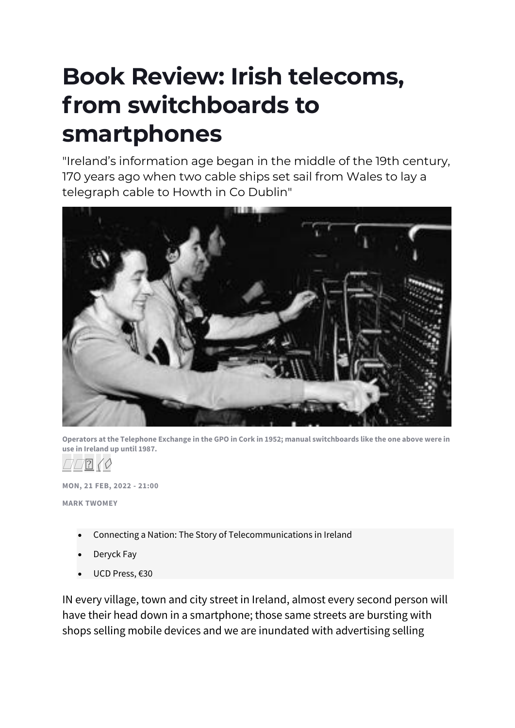## **Book Review: Irish telecoms, from switchboards to smartphones**

"Ireland's information age began in the middle of the 19th century, 170 years ago when two cable ships set sail from Wales to lay a telegraph cable to Howth in Co Dublin"



**Operators at the Telephone Exchange in the GPO in Cork in 1952; manual switchboards like the one above were in use in Ireland up until 1987.**

 $\left| \cdot \right|$   $\left\langle \right\rangle$ 

**MON, 21 FEB, 2022 - 21:00**

**MARK TWOMEY**

- Connecting a Nation: The Story of Telecommunications in Ireland
- Deryck Fay
- UCD Press, €30

IN every village, town and city street in Ireland, almost every second person will have their head down in a smartphone; those same streets are bursting with shops selling mobile devices and we are inundated with advertising selling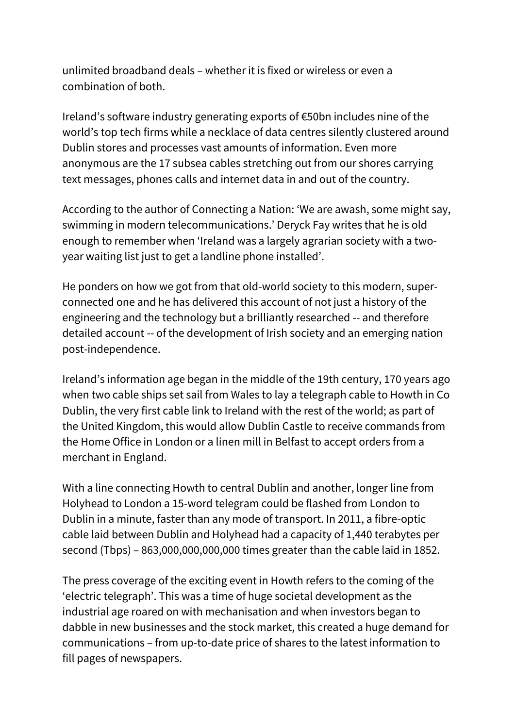unlimited broadband deals – whether it is fixed or wireless or even a combination of both.

Ireland's software industry generating exports of €50bn includes nine of the world's top tech firms while a necklace of data centres silently clustered around Dublin stores and processes vast amounts of information. Even more anonymous are the 17 subsea cables stretching out from our shores carrying text messages, phones calls and internet data in and out of the country.

According to the author of Connecting a Nation: 'We are awash, some might say, swimming in modern telecommunications.' Deryck Fay writes that he is old enough to remember when 'Ireland was a largely agrarian society with a twoyear waiting list just to get a landline phone installed'.

He ponders on how we got from that old-world society to this modern, superconnected one and he has delivered this account of not just a history of the engineering and the technology but a brilliantly researched -- and therefore detailed account -- of the development of Irish society and an emerging nation post-independence.

Ireland's information age began in the middle of the 19th century, 170 years ago when two cable ships set sail from Wales to lay a telegraph cable to Howth in Co Dublin, the very first cable link to Ireland with the rest of the world; as part of the United Kingdom, this would allow Dublin Castle to receive commands from the Home Office in London or a linen mill in Belfast to accept orders from a merchant in England.

With a line connecting Howth to central Dublin and another, longer line from Holyhead to London a 15-word telegram could be flashed from London to Dublin in a minute, faster than any mode of transport. In 2011, a fibre-optic cable laid between Dublin and Holyhead had a capacity of 1,440 terabytes per second (Tbps) – 863,000,000,000,000 times greater than the cable laid in 1852.

The press coverage of the exciting event in Howth refers to the coming of the 'electric telegraph'. This was a time of huge societal development as the industrial age roared on with mechanisation and when investors began to dabble in new businesses and the stock market, this created a huge demand for communications – from up-to-date price of shares to the latest information to fill pages of newspapers.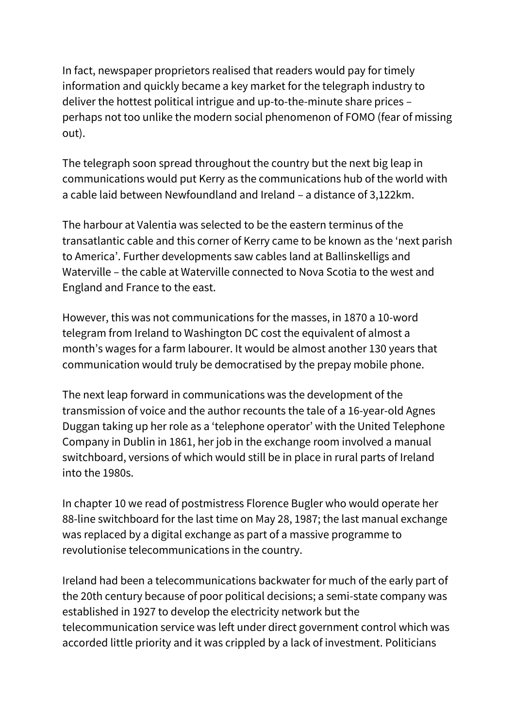In fact, newspaper proprietors realised that readers would pay for timely information and quickly became a key market for the telegraph industry to deliver the hottest political intrigue and up-to-the-minute share prices – perhaps not too unlike the modern social phenomenon of FOMO (fear of missing out).

The telegraph soon spread throughout the country but the next big leap in communications would put Kerry as the communications hub of the world with a cable laid between Newfoundland and Ireland – a distance of 3,122km.

The harbour at Valentia was selected to be the eastern terminus of the transatlantic cable and this corner of Kerry came to be known as the 'next parish to America'. Further developments saw cables land at Ballinskelligs and Waterville – the cable at Waterville connected to Nova Scotia to the west and England and France to the east.

However, this was not communications for the masses, in 1870 a 10-word telegram from Ireland to Washington DC cost the equivalent of almost a month's wages for a farm labourer. It would be almost another 130 years that communication would truly be democratised by the prepay mobile phone.

The next leap forward in communications was the development of the transmission of voice and the author recounts the tale of a 16-year-old Agnes Duggan taking up her role as a 'telephone operator' with the United Telephone Company in Dublin in 1861, her job in the exchange room involved a manual switchboard, versions of which would still be in place in rural parts of Ireland into the 1980s.

In chapter 10 we read of postmistress Florence Bugler who would operate her 88-line switchboard for the last time on May 28, 1987; the last manual exchange was replaced by a digital exchange as part of a massive programme to revolutionise telecommunications in the country.

Ireland had been a telecommunications backwater for much of the early part of the 20th century because of poor political decisions; a semi-state company was established in 1927 to develop the electricity network but the telecommunication service was left under direct government control which was accorded little priority and it was crippled by a lack of investment. Politicians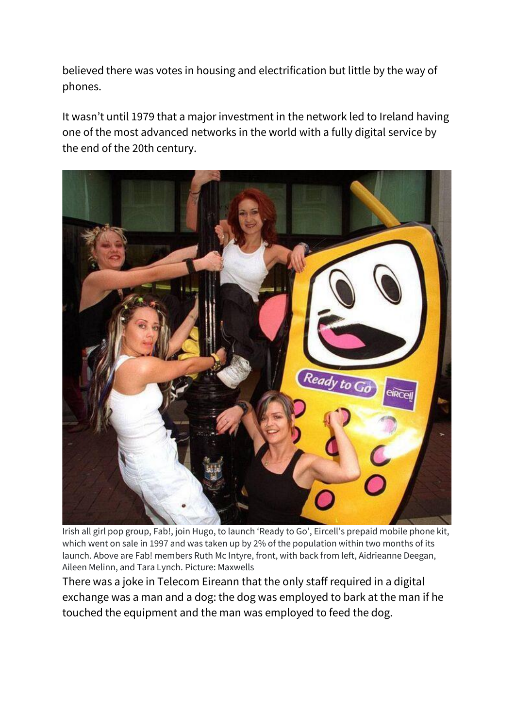believed there was votes in housing and electrification but little by the way of phones.

It wasn't until 1979 that a major investment in the network led to Ireland having one of the most advanced networks in the world with a fully digital service by the end of the 20th century.



Irish all girl pop group, Fab!, join Hugo, to launch 'Ready to Go', Eircell's prepaid mobile phone kit, which went on sale in 1997 and was taken up by 2% of the population within two months of its launch. Above are Fab! members Ruth Mc Intyre, front, with back from left, Aidrieanne Deegan, Aileen Melinn, and Tara Lynch. Picture: Maxwells

There was a joke in Telecom Eireann that the only staff required in a digital exchange was a man and a dog: the dog was employed to bark at the man if he touched the equipment and the man was employed to feed the dog.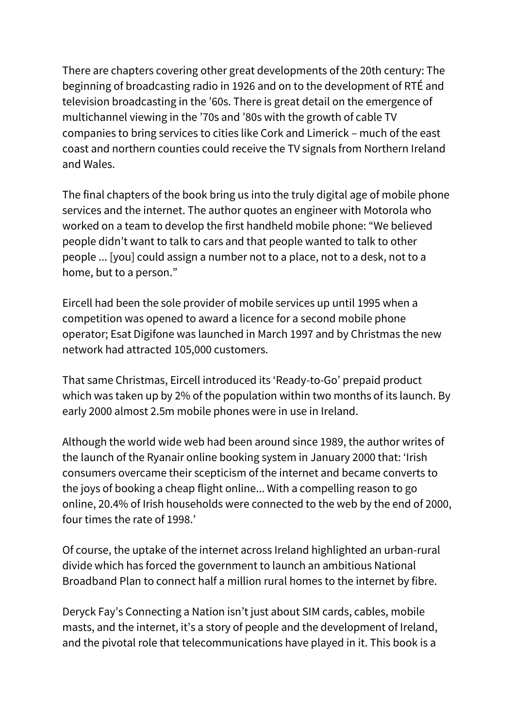There are chapters covering other great developments of the 20th century: The beginning of broadcasting radio in 1926 and on to the development of RTÉ and television broadcasting in the '60s. There is great detail on the emergence of multichannel viewing in the '70s and '80s with the growth of cable TV companies to bring services to cities like Cork and Limerick – much of the east coast and northern counties could receive the TV signals from Northern Ireland and Wales.

The final chapters of the book bring us into the truly digital age of mobile phone services and the internet. The author quotes an engineer with Motorola who worked on a team to develop the first handheld mobile phone: "We believed people didn't want to talk to cars and that people wanted to talk to other people ... [you] could assign a number not to a place, not to a desk, not to a home, but to a person."

Eircell had been the sole provider of mobile services up until 1995 when a competition was opened to award a licence for a second mobile phone operator; Esat Digifone was launched in March 1997 and by Christmas the new network had attracted 105,000 customers.

That same Christmas, Eircell introduced its 'Ready-to-Go' prepaid product which was taken up by 2% of the population within two months of its launch. By early 2000 almost 2.5m mobile phones were in use in Ireland.

Although the world wide web had been around since 1989, the author writes of the launch of the Ryanair online booking system in January 2000 that: 'Irish consumers overcame their scepticism of the internet and became converts to the joys of booking a cheap flight online... With a compelling reason to go online, 20.4% of Irish households were connected to the web by the end of 2000, four times the rate of 1998.'

Of course, the uptake of the internet across Ireland highlighted an urban-rural divide which has forced the government to launch an ambitious National Broadband Plan to connect half a million rural homes to the internet by fibre.

Deryck Fay's Connecting a Nation isn't just about SIM cards, cables, mobile masts, and the internet, it's a story of people and the development of Ireland, and the pivotal role that telecommunications have played in it. This book is a